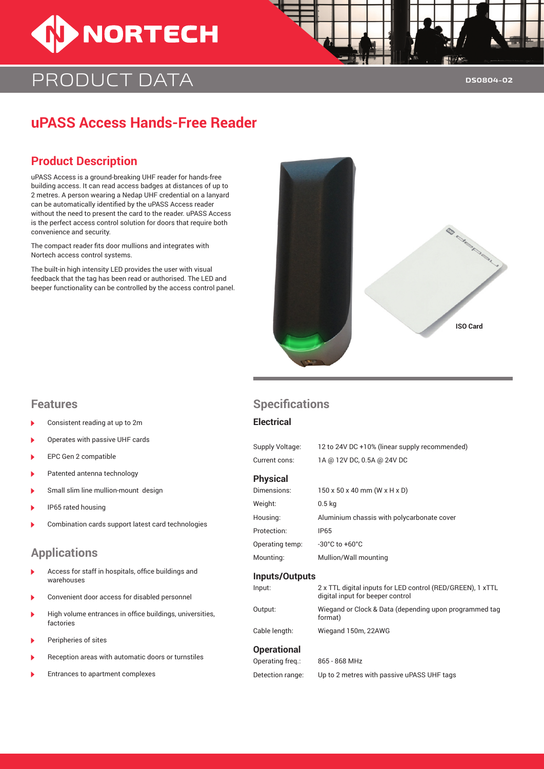

# PRODUCT DATA

## **uPASS Access Hands-Free Reader**

### **Product Description**

uPASS Access is a ground-breaking UHF reader for hands-free building access. It can read access badges at distances of up to 2 metres. A person wearing a Nedap UHF credential on a lanyard can be automatically identified by the uPASS Access reader without the need to present the card to the reader. uPASS Access is the perfect access control solution for doors that require both convenience and security.

The compact reader fits door mullions and integrates with Nortech access control systems.

The built-in high intensity LED provides the user with visual feedback that the tag has been read or authorised. The LED and beeper functionality can be controlled by the access control panel.



- Consistent reading at up to 2m
- Operates with passive UHF cards
- EPC Gen 2 compatible
- Patented antenna technology
- Small slim line mullion-mount design
- IP65 rated housing
- Combination cards support latest card technologies

### **Applications**

- Access for staff in hospitals, office buildings and warehouses
- Convenient door access for disabled personnel
- High volume entrances in office buildings, universities, factories
- Peripheries of sites
- B Reception areas with automatic doors or turnstiles
- Entrances to apartment complexes

### **Features Specifications**

#### **Electrical**

| Supply Voltage: | 12 to 24V DC +10% (linear supply recommended)                                                  |  |  |
|-----------------|------------------------------------------------------------------------------------------------|--|--|
| Current cons:   | 1A @ 12V DC, 0.5A @ 24V DC                                                                     |  |  |
| <b>Physical</b> |                                                                                                |  |  |
| Dimensions:     | $150 \times 50 \times 40$ mm (W $\times$ H $\times$ D)                                         |  |  |
| Weight:         | 0.5 <sub>kq</sub>                                                                              |  |  |
| Housing:        | Aluminium chassis with polycarbonate cover                                                     |  |  |
| Protection:     | <b>IP65</b>                                                                                    |  |  |
| Operating temp: | -30 $^{\circ}$ C to +60 $^{\circ}$ C                                                           |  |  |
| Mounting:       | Mullion/Wall mounting                                                                          |  |  |
| Inputs/Outputs  |                                                                                                |  |  |
| Input:          | 2 x TTL digital inputs for LED control (RED/GREEN), 1 xTTL<br>digital input for beeper control |  |  |
| Output:         | Wiegand or Clock & Data (depending upon programmed tag<br>format)                              |  |  |

Cable length: Wiegand 150m, 22AWG

#### **Operational**

| Operating freq.: | 865 - 868 MHz                              |
|------------------|--------------------------------------------|
| Detection range: | Up to 2 metres with passive uPASS UHF tags |